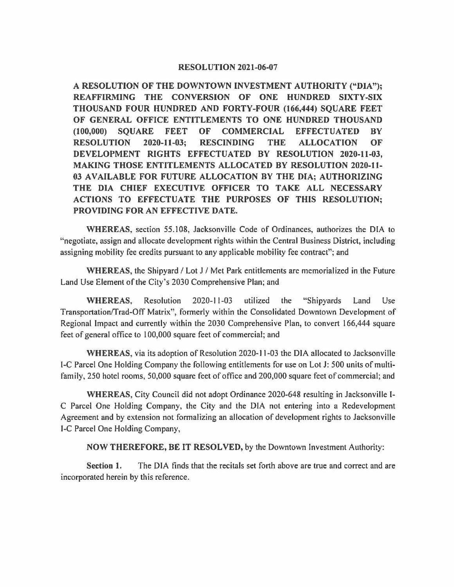## **RESOLUTION 2021-06-07**

**A RESOLUTION OF THE DOWNTOWN INVESTMENT AUTHORITY ("DIA"); REAFFIRMING THE CONVERSION OF ONE HUNDRED SIXTY-SIX THOUSAND FOUR HUNDRED AND FORTY-FOUR (166,444) SQUARE FEET OF GENERAL OFFICE ENTITLEMENTS TO ONE HUNDRED THOUSAND (100,000) SQUARE FEET OF COMMERCIAL EFFECTUATED BY RESOLUTION 2020-11-03; RESCINDING THE ALLOCATION OF DEVELOPMENT RIGHTS EFFECTUATED BY RESOLUTION 2020-11-03, MAKING THOSE ENTITLEMENTS ALLOCATED BY RESOLUTION 2020-11- 03 AVAILABLE FOR FUTURE ALLOCATION BY THE DIA; AUTHORIZING THE DIA CHIEF EXECUTIVE OFFICER TO TAKE ALL NECESSARY ACTIONS TO EFFECTUATE THE PURPOSES OF THIS RESOLUTION; PROVIDING FOR AN EFFECTIVE DATE.** 

**WHEREAS,** section 55.108, Jacksonville Code of Ordinances, authorizes the DIA to "negotiate, assign and allocate development rights within the Central Business District, including assigning mobility fee credits pursuant to any applicable mobility fee contract"; and

**WHEREAS,** the Shipyard/ Lot J / Met Park entitlements are memorialized in the Future Land Use Element of the City's 2030 Comprehensive Plan; and

**WHEREAS,** Resolution 2020-11-03 utilized the "Shipyards Land Use Transportation/Trad-Off Matrix", formerly within the Consolidated Downtown Development of Regional Impact and currently within the 2030 Comprehensive Plan, to convert 166,444 square feet of general office to I 00,000 square feet of commercial; and

**WHEREAS,** via its adoption of Resolution 2020-11-03 the DIA allocated to Jacksonville 1-C Parcel One Holding Company the following entitlements for use on Lot J: 500 units of multifamily, 250 hotel rooms, 50,000 square feet of office and 200,000 square feet of commercial; and

**WHEREAS,** City Council did not adopt Ordinance 2020-648 resulting in Jacksonville I-C Parcel One Holding Company, the City and the DIA not entering into a Redevelopment Agreement and by extension not formalizing an allocation of development rights to Jacksonville 1-C Parcel One Holding Company,

**NOW THEREFORE, BE IT RESOLVED,** by the Downtown Investment Authority:

**Section 1.** The DIA finds that the recitals set forth above are true and correct and are incorporated herein by this reference.